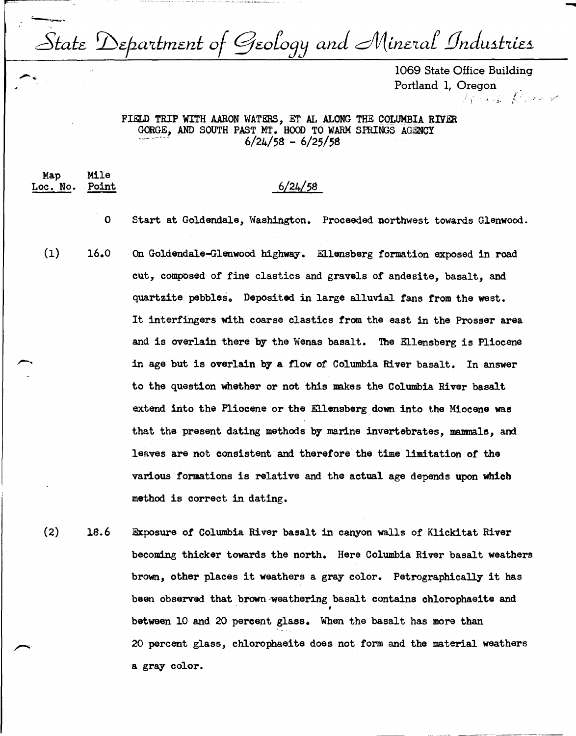State Department of Geology and Mineral Industries

1069 State Office Building Portland 1, Oregon  $N$  is  $R$  is  $r$  **-**

## FIELD TRIP WITH AARON WATERS, ET AL ALONG THE COLUMBIA RIVER GORGE, AND SOUTH PAST MT. HOOD TO WARM SPRINGS AGENCY  $6/24/58 - 6/25/58$

Map Mile Loe. No. Point

## 6/24/58

0 Start at Goldendale, Washington. Proceeded northwest towards Glenwood.

 $(1)$  16.0 On Goldendale-Glenwood highway. Ellensberg formation exposed in road cut, composed of fine elastics and gravels of andesite, basalt, and quartzite pebbles. Deposited in large alluvial fans from the west. It interfingers with coarse elastics from the east in the Prosser area and is overlain there by the Wenas basalt. The Ellensberg is Pliocene in age but is overlain by a flow of Columbia River basalt. In answer to the question whether or not this makes the Columbia River basalt extend into the Pliocene or the Ellensberg down into the Miocene was that the present dating methods by marine invertebrates, manmals, and leaves are not consistent and therefore the time limitation of the various formations is relative and the actual age depends upon which method is correct in dating.

 $(2)$  18.6 Exposure of Columbia River basalt in canyon walls of Klickitat River becoming thicker towards the north. Here Columbia River basalt weathers brown, other places it weathers a gray color. Petrographically it has been observed that brown weathering basalt contains chlorophaeite and between 10 and 20 percent glass. When the basalt has more than 20 percent glass, chlorophaeite does not form and the material weathers a gray color.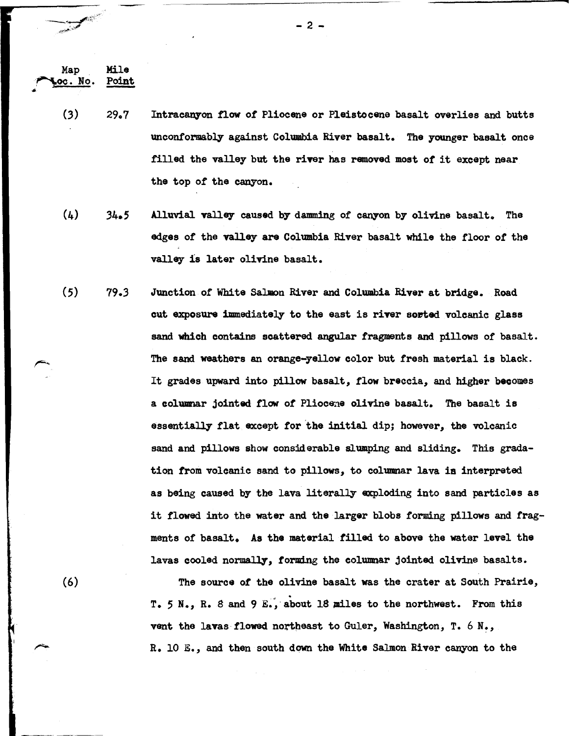$(3)$  29.7 Intracanyon flow of Pliocene or Pleistocene basalt overlies and butts unconformably against Columbia River basalt. The younger basalt once filled the valley but the river has removed most of it except near the top of the canyon.

Map Mile Map<br>• Mile<br>• Point

فين أستينيه

(6)

•

- (4)  $34.5$ Alluvial valley caused by damming of canyon by olivine basalt. The edges of the valley are Columbia River basalt while the floor of the valley is later olivine basalt.
- (5)  $79.3$ Junction of White Salmon River and Columbia River at bridge. Road cut exposure immediately to the east is river sorted volcanic glass sand which contains scattered angular fragments and pillows of basalt. The sand weathers an orange-yellow color but fresh material is black. It grades upward into pillow basalt., flow breccia., and higher becomes a colwanar jointed flow of Pliocene olivine basalt. The basalt is essentially flat except for the initial dip; however, the volcanic sand and pillows show considerable slumping and sliding. This gradation from volcanic sand to pillows., to columnar lava ia interpreted as being caused by the lava literally exploding into sand particles as it flowed into the water and the larger blobs forming pillows and fragments of basalt. As the material filled to above the water level the lavas cooled normally, forming the columnar jointed olivine basalts.

The source of the olivine basalt was the crater at South Prairie, T. 5 N., R. 8 and 9 E., about 18 miles to the northwest. From this vent the lavas flowed northeast to Guler, Washington, T. 6 N., R. 10 E., and then south down the **White** Salmon River canyon to the

 $2 -$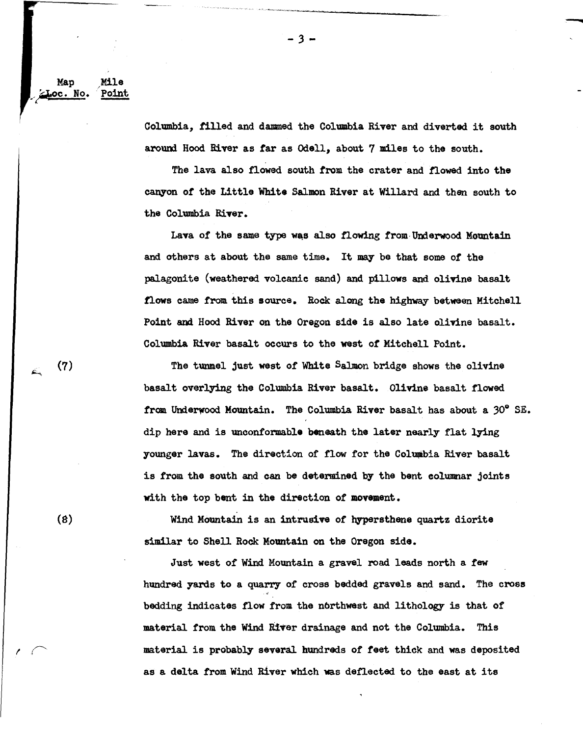Map Mile *1 ~c.* No. 'Point

*\_,*

Columbia, tilled and dammed the Columbia River and diverted it south around Hood River as far as Odell, about 7 miles to the south.

---

The lava also flowed south from the crater and flowed into the canyon of the Little White Salmon River at Willard and then south to the Columbia River.

Lava of the same type was also flowing from Underwood Mountain and others at about the same time. It may be that some of the palagonite (weathered volcanic sand) and pillows and olivine basalt flows came from this source. Rock along the highway between Mitchell Point and Hood River on the Oregon side is also late olivine basalt. Columbia River basalt occurs to the west or Mitchell Point.

The tunnel just west of White Salmon bridge shows the olivine basalt overlying the Columbia River basalt. Olivine basalt flowed from Underwood Mountain. The Columbia River basalt has about a  $30^{\circ}$  SE. dip here and is unconformable beneath the later nearly flat lying younger lavas. The direction of flow for the Columbia River basalt is from the south and can be determined by the bent columnar joints with the top bent in the direction of movement.

Wind Mountain is an intrusive of hypersthene quartz diorite similar to Shell Rock Mountain on the Oregon side.

Just west of Wind Mountain a gravel road leads north a few hundred yards to a quarry of cross bedded gravels and sand. The cross bedding indicates flow from the northwest and lithology is that of material from the Wind River drainage and not the Columbia. This material is probably several hundreds of feet thick and was deposited as a delta from Wind River which was defieeted to the east at its

(8)

 $\sqrt{1}$ 

(7)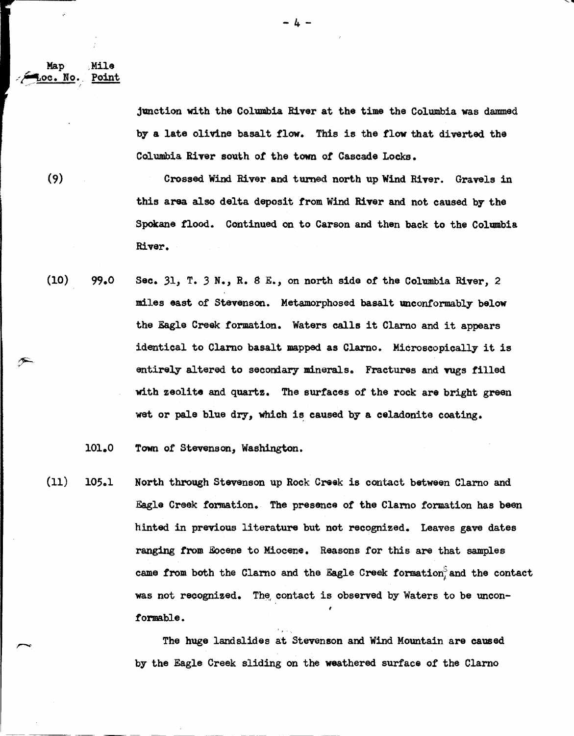Map Mile  $\circ$ oc. No. Point

> junction with the Columbia River at the time the Columbia was dammed by a late olivine basalt flow. This is the flow that diverted the Columbia River south of the town of Cascade Locks.

(9)

Crossed Wind River and turned north up Wind River. Gravels in this area also delta deposit from Wind River and not caused by the Spokane flood. Continued on to Carson and then back to the Colmabia River.

 $(10)$  99.0 Sec. 31, T. 3 N., R. 8 E., on north side of the Columbia River, 2 miles east of Stevenson. Metamorphosed basalt unconformably below the Eagle Creek formation. Waters calls it Clarno and it appears identical to Clarno basalt mapped as Clarno. Microscopical17 it is entirely altered to secondary minerals. Fractures and vugs filled with zeolite and quartz. The surfaces of the rock are bright green wet or pale blue dry, which is caused by a celadonite coating.

101.0 Town of Stevenson, Washington.

 $(11)$  105.1 North through Stevenson up Rock Creek is contact between Clamo and Eagle Creek formation. The presence of the Clamo formation has been hinted in previous literature but not recognized. Leaves gave dates ranging from Eocene to Miocene. Reasons for this are that samples came from both the Clarno and the Eagle Creek formation, and the contact was not recognized. The contact is observed by Waters to be unconformable.

> The huge landslides at Stevenson and Wind Mountain are caused b7 the Eagle Creek sliding on the weathered surface of the Clarno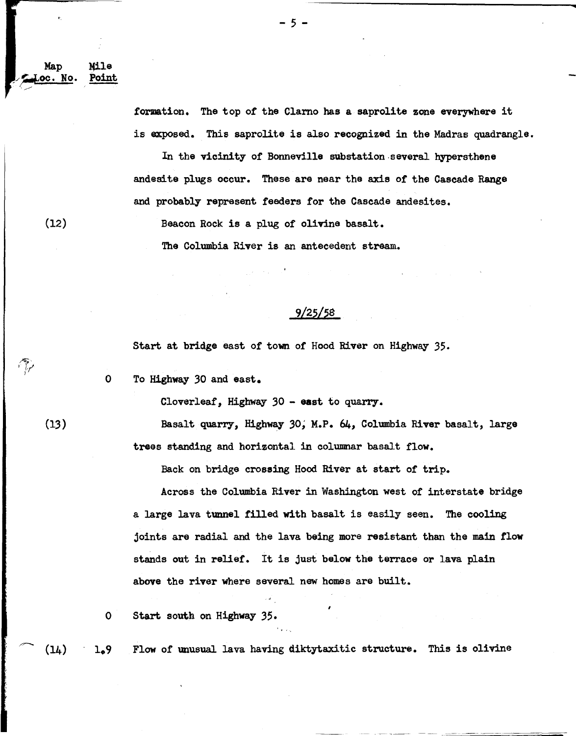formation. The top of the Clamo has a saprolite zone everywhere it is exposed. This saprolite is also recognized in the Madras quadrangle.

In the vicinity of Bonneville substation-several hypersthene andesite plugs occur. These are near the axis of the Cascade Range and probably represent feeders for the Cascade andesites.

Beacon Rock is a plug of olivine basalt.

The Columbia River is an antecedent stream.

## 9/25/58

Start at bridge east of town of Hood River on Highway 35.

0 To Highway 30 and east.

Cloverleaf, Highway  $30 - 0$  east to quarry.

Basalt quarry, Highway 30; M.P. 64, Columbia River basalt, large trees standing and horizontal in columnar basalt flow.

Back on bridge crossing Hood River at start *of* trip.

Across the Columbia River in Washington west *of* interstate bridge a large lava tunnel filled with basalt is easily seen. The cooling joints are radial and the lava being more resistant than the main **flow**  stands out in relief. It is just below the terrace or lava plain above the river where several new homes are built.

0 Start south on Highway 35.

 $1.9$ Flow of unusual lava having diktytaxitic structure. This is olivine  $(14)$ 

(13)

 $(12)$ 

Map oc. No Mile Point - 5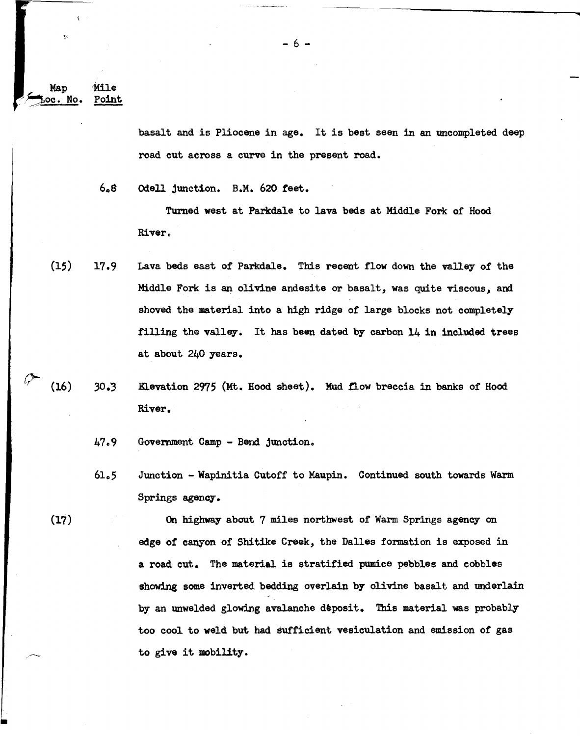Map Mile oc. No. Point

Y.

(17)

basalt and is Pliocene in age. It is best seen in an uncompleted deep road cut across a curve in the present road.

608 Odell junction. B.M. 620 feet.

Tumed west at Parkdale to lava beds at Middle Fork of Hood **River.** 

- (15)  $17.9$ Lava beds east of Parkdale. This recent flow down the valley of the Middle Fork is an olivine andesite or basalt, was quite viscous, and shoved the material into a high ridge of large blocks not completely filling the valley. It has been dated by carbon  $14$  in included trees at about 240 years.
- *(i-* (16)  $30.3$ Elevation 2975 (Mt. Hood sheet). Mud flow breccia in banks of Hood River.
	- 47o9 Government Camp Bend junction.
	- 6lo5 Junction Wapinitia Cutoff to Maupin. Continued south towards Warm Springs agency.

On highway about 7 miles northwest of Warm Springs agency on edge *of* canyon of Shitike Creek, the Dalles formation is exposed in a road cut. The material is stratified pumice pebbles and cobbles showing some inverted bedding overlain by olivine basalt and underlain by an unwelded glowing avalanche deposit. This material was probably too cool to weld but had sufficient vesiculation and emission *of* gas to give it mobility •